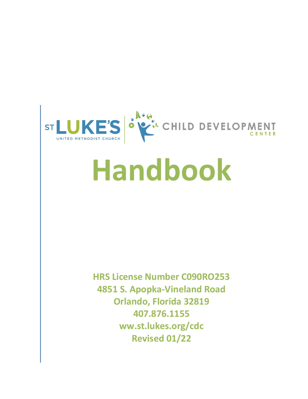

# **Handbook**

**HRS License Number C090RO253 4851 S. Apopka-Vineland Road Orlando, Florida 32819 407.876.1155 ww.st.lukes.org/cdc Revised 01/22**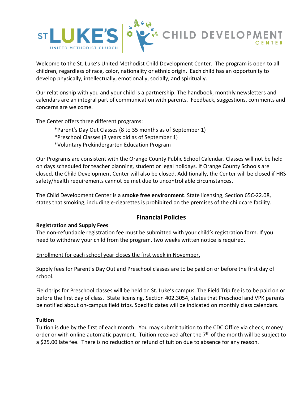

Welcome to the St. Luke's United Methodist Child Development Center. The program is open to all children, regardless of race, color, nationality or ethnic origin. Each child has an opportunity to develop physically, intellectually, emotionally, socially, and spiritually.

Our relationship with you and your child is a partnership. The handbook, monthly newsletters and calendars are an integral part of communication with parents. Feedback, suggestions, comments and concerns are welcome.

The Center offers three different programs:

\*Parent's Day Out Classes (8 to 35 months as of September 1) \*Preschool Classes (3 years old as of September 1) \*Voluntary Prekindergarten Education Program

Our Programs are consistent with the Orange County Public School Calendar. Classes will not be held on days scheduled for teacher planning, student or legal holidays. If Orange County Schools are closed, the Child Development Center will also be closed. Additionally, the Center will be closed if HRS safety/health requirements cannot be met due to uncontrollable circumstances.

The Child Development Center is a **smoke free environment**. State licensing, Section 65C-22.08, states that smoking, including e-cigarettes is prohibited on the premises of the childcare facility.

# **Financial Policies**

# **Registration and Supply Fees**

The non-refundable registration fee must be submitted with your child's registration form. If you need to withdraw your child from the program, two weeks written notice is required.

#### Enrollment for each school year closes the first week in November.

Supply fees for Parent's Day Out and Preschool classes are to be paid on or before the first day of school.

Field trips for Preschool classes will be held on St. Luke's campus. The Field Trip fee is to be paid on or before the first day of class. State licensing, Section 402.3054, states that Preschool and VPK parents be notified about on-campus field trips. Specific dates will be indicated on monthly class calendars.

#### **Tuition**

Tuition is due by the first of each month. You may submit tuition to the CDC Office via check, money order or with online automatic payment. Tuition received after the 7<sup>th</sup> of the month will be subject to a \$25.00 late fee. There is no reduction or refund of tuition due to absence for any reason.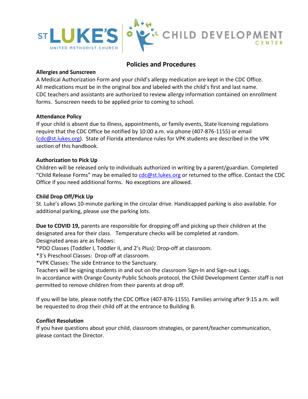

# **Policies and Procedures**

## **Allergies and Sunscreen**

A Medical Authorization Form and your child's allergy medication are kept in the CDC Office. All medications must be in the original box and labeled with the child's first and last name. CDC teachers and assistants are authorized to review allergy information contained on enrollment forms. Sunscreen needs to be applied prior to coming to school.

## **Attendance Policy**

If your child is absent due to illness, appointments, or family events, State licensing regulations require that the CDC Office be notified by 10:00 a.m. via phone (407-876-1155) or email [\(cdc@st.lukes.org\)](mailto:cdc@st.lukes.org). State of Florida attendance rules for VPK students are described in the VPK section of this handbook.

## **Authorization to Pick Up**

Children will be released only to individuals authorized in writing by a parent/guardian. Completed "Child Release Forms" may be emailed to [cdc@st.lukes.org](mailto:cdc@st.lukes.org) or returned to the office. Contact the CDC Office if you need additional forms. No exceptions are allowed.

# **Child Drop Off/Pick Up**

St. Luke's allows 10-minute parking in the circular drive. Handicapped parking is also available. For additional parking, please use the parking lots.

**Due to COVID 19,** parents are responsible for dropping off and picking up their children at the designated area for their class. Temperature checks will be completed at random. Designated areas are as follows:

\*PDO Classes (Toddler I, Toddler II, and 2's Plus): Drop-off at classroom.

\*3's Preschool Classes: Drop-off at classroom.

\*VPK Classes: The side Entrance to the Sanctuary.

Teachers will be signing students in and out on the classroom Sign-In and Sign-out Logs.

In accordance with Orange County Public Schools protocol, the Child Development Center staff is not permitted to remove children from their parents at drop off.

If you will be late, please notify the CDC Office (407-876-1155). Families arriving after 9:15 a.m. will be requested to drop their child off at the entrance to Building B.

# **Conflict Resolution**

If you have questions about your child, classroom strategies, or parent/teacher communication, please contact the Director.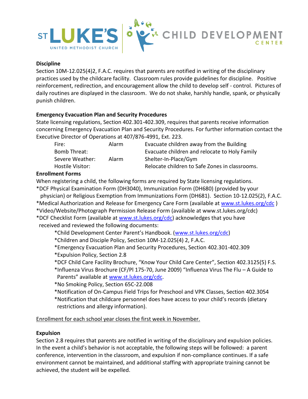

#### **Discipline**

Section 10M-12.025(4)2, F.A.C. requires that parents are notified in writing of the disciplinary practices used by the childcare facility. Classroom rules provide guidelines for discipline. Positive reinforcement, redirection, and encouragement allow the child to develop self - control. Pictures of daily routines are displayed in the classroom. We do not shake, harshly handle, spank, or physically punish children.

#### **Emergency Evacuation Plan and Security Procedures**

State licensing regulations, Section 402.301-402.309, requires that parents receive information concerning Emergency Evacuation Plan and Security Procedures. For further information contact the Executive Director of Operations at 407/876-4991, Ext. 223.

| Fire:            | Alarm | Evacuate children away from the Building       |
|------------------|-------|------------------------------------------------|
| Bomb Threat:     |       | Evacuate children and relocate to Holy Family  |
| Severe Weather:  | Alarm | Shelter-In-Place/Gym                           |
| Hostile Visitor: |       | Relocate children to Safe Zones in classrooms. |

## **Enrollment Forms**

When registering a child, the following forms are required by State licensing regulations. \*DCF Physical Examination Form (DH3040), Immunization Form (DH680) (provided by your physician) or Religious Exemption from Immunizations Form (DH681). Section 10-12.025(2), F.A.C. \*Medical Authorization and Release for Emergency Care Form (available at [www.st.lukes.org/cdc](http://www.st.lukes.org/cdc)) \*Video/Website/Photograph Permission Release Form (available at www.st.lukes.org/cdc)

\*DCF Checklist Form (available at [www.st.lukes.org/cdc\)](http://www.st.lukes.org/cdc) acknowledges that you have received and reviewed the following documents:

\*Child Development Center Parent's Handbook. ([www.st.lukes.org/cdc\)](http://www.st.lukes.org/cdc)

\*Children and Disciple Policy, Section 10M-12.025(4) 2, F.A.C.

\*Emergency Evacuation Plan and Security Procedures, Section 402.301-402.309

\*Expulsion Policy, Section 2.8

\*DCF Child Care Facility Brochure, "Know Your Child Care Center", Section 402.3125(5) F.S.

- \*Influenza Virus Brochure (CF/Pl 175-70, June 2009) "Influenza Virus The Flu A Guide to Parents" available at [www.st.lukes.org/cdc.](http://www.st.lukes.org/cdc)
- \*No Smoking Policy, Section 65C-22.008
- \*Notification of On-Campus Field Trips for Preschool and VPK Classes, Section 402.3054 \*Notification that childcare personnel does have access to your child's records (dietary restrictions and allergy information).

Enrollment for each school year closes the first week in November.

#### **Expulsion**

Section 2.8 requires that parents are notified in writing of the disciplinary and expulsion policies. In the event a child's behavior is not acceptable, the following steps will be followed: a parent conference, intervention in the classroom, and expulsion if non-compliance continues. If a safe environment cannot be maintained, and additional staffing with appropriate training cannot be achieved, the student will be expelled.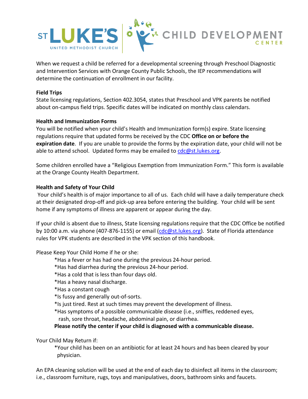

When we request a child be referred for a developmental screening through Preschool Diagnostic and Intervention Services with Orange County Public Schools, the IEP recommendations will determine the continuation of enrollment in our facility.

#### **Field Trips**

State licensing regulations, Section 402.3054, states that Preschool and VPK parents be notified about on-campus field trips. Specific dates will be indicated on monthly class calendars.

#### **Health and Immunization Forms**

You will be notified when your child's Health and Immunization form(s) expire. State licensing regulations require that updated forms be received by the CDC **Office on or before the expiration date**. If you are unable to provide the forms by the expiration date, your child will not be able to attend school. Updated forms may be emailed to [cdc@st.lukes.org.](mailto:cdc@st.lukes.org)

Some children enrolled have a "Religious Exemption from Immunization Form." This form is available at the Orange County Health Department.

#### **Health and Safety of Your Child**

Your child's health is of major importance to all of us. Each child will have a daily temperature check at their designated drop-off and pick-up area before entering the building. Your child will be sent home if any symptoms of illness are apparent or appear during the day.

If your child is absent due to illness, State licensing regulations require that the CDC Office be notified by 10:00 a.m. via phone (407-876-1155) or email [\(cdc@st.lukes.org\)](mailto:cdc@st.lukes.org). State of Florida attendance rules for VPK students are described in the VPK section of this handbook.

Please Keep Your Child Home if he or she:

- \*Has a fever or has had one during the previous 24-hour period.
- \*Has had diarrhea during the previous 24-hour period.
- \*Has a cold that is less than four days old.
- \*Has a heavy nasal discharge.
- \*Has a constant cough
- \*Is fussy and generally out-of-sorts.
- \*Is just tired. Rest at such times may prevent the development of illness.
- \*Has symptoms of a possible communicable disease (i.e., sniffles, reddened eyes, rash, sore throat, headache, abdominal pain, or diarrhea.

**Please notify the center if your child is diagnosed with a communicable disease.**

Your Child May Return if:

\*Your child has been on an antibiotic for at least 24 hours and has been cleared by your physician.

An EPA cleaning solution will be used at the end of each day to disinfect all items in the classroom; i.e., classroom furniture, rugs, toys and manipulatives, doors, bathroom sinks and faucets.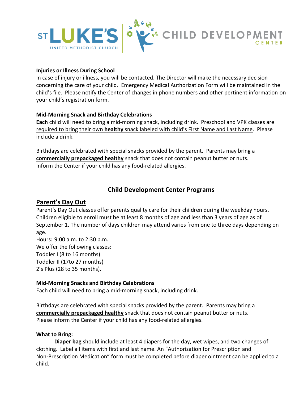

#### **Injuries or Illness During School**

In case of injury or illness, you will be contacted. The Director will make the necessary decision concerning the care of your child. Emergency Medical Authorization Form will be maintained in the child's file. Please notify the Center of changes in phone numbers and other pertinent information on your child's registration form.

## **Mid-Morning Snack and Birthday Celebrations**

**Each** child will need to bring a mid-morning snack, including drink. Preschool and VPK classes are required to bring their own **healthy** snack labeled with child's First Name and Last Name. Please include a drink.

Birthdays are celebrated with special snacks provided by the parent. Parents may bring a **commercially prepackaged healthy** snack that does not contain peanut butter or nuts. Inform the Center if your child has any food-related allergies.

# **Child Development Center Programs**

# **Parent's Day Out**

Parent's Day Out classes offer parents quality care for their children during the weekday hours. Children eligible to enroll must be at least 8 months of age and less than 3 years of age as of September 1. The number of days children may attend varies from one to three days depending on age.

Hours: 9:00 a.m. to 2:30 p.m. We offer the following classes: Toddler I (8 to 16 months) Toddler II (17to 27 months) 2's Plus (28 to 35 months).

#### **Mid-Morning Snacks and Birthday Celebrations**

Each child will need to bring a mid-morning snack, including drink.

Birthdays are celebrated with special snacks provided by the parent. Parents may bring a **commercially prepackaged healthy** snack that does not contain peanut butter or nuts. Please inform the Center if your child has any food-related allergies.

#### **What to Bring:**

**Diaper bag** should include at least 4 diapers for the day, wet wipes, and two changes of clothing. Label all items with first and last name. An "Authorization for Prescription and Non-Prescription Medication" form must be completed before diaper ointment can be applied to a child.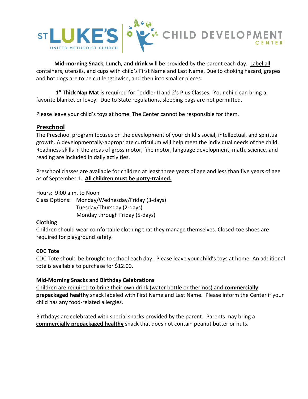

**Mid-morning Snack, Lunch, and drink** will be provided by the parent each day. Label all containers, utensils, and cups with child's First Name and Last Name. Due to choking hazard, grapes and hot dogs are to be cut lengthwise, and then into smaller pieces.

**1" Thick Nap Mat** is required for Toddler II and 2's Plus Classes. Your child can bring a favorite blanket or lovey. Due to State regulations, sleeping bags are not permitted.

Please leave your child's toys at home. The Center cannot be responsible for them.

# **Preschool**

The Preschool program focuses on the development of your child's social, intellectual, and spiritual growth. A developmentally-appropriate curriculum will help meet the individual needs of the child. Readiness skills in the areas of gross motor, fine motor, language development, math, science, and reading are included in daily activities.

Preschool classes are available for children at least three years of age and less than five years of age as of September 1. **All children must be potty-trained.**

Hours: 9:00 a.m. to Noon

Class Options: Monday/Wednesday/Friday (3-days) Tuesday/Thursday (2-days) Monday through Friday (5-days)

#### **Clothing**

Children should wear comfortable clothing that they manage themselves. Closed-toe shoes are required for playground safety.

#### **CDC Tote**

CDC Tote should be brought to school each day. Please leave your child's toys at home. An additional tote is available to purchase for \$12.00.

#### **Mid-Morning Snacks and Birthday Celebrations**

Children are required to bring their own drink (water bottle or thermos) and **commercially prepackaged healthy** snack labeled with First Name and Last Name. Please inform the Center if your child has any food-related allergies.

Birthdays are celebrated with special snacks provided by the parent. Parents may bring a **commercially prepackaged healthy** snack that does not contain peanut butter or nuts.